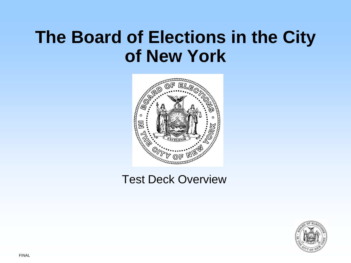# **The Board of Elections in the City of New York**



### Test Deck Overview

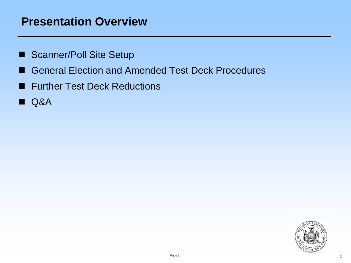### **Presentation Overview**

- Scanner/Poll Site Setup
- General Election and Amended Test Deck Procedures
- Further Test Deck Reductions
- Q&A

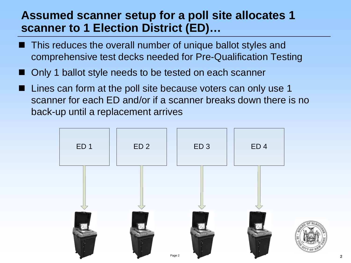### **Assumed scanner setup for a poll site allocates 1 scanner to 1 Election District (ED)…**

- This reduces the overall number of unique ballot styles and comprehensive test decks needed for Pre-Qualification Testing
- Only 1 ballot style needs to be tested on each scanner
- Lines can form at the poll site because voters can only use 1 scanner for each ED and/or if a scanner breaks down there is no back-up until a replacement arrives

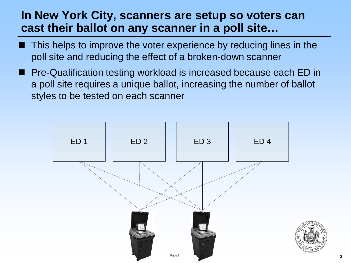### **In New York City, scanners are setup so voters can cast their ballot on any scanner in a poll site…**

- This helps to improve the voter experience by reducing lines in the poll site and reducing the effect of a broken-down scanner
- Pre-Qualification testing workload is increased because each ED in a poll site requires a unique ballot, increasing the number of ballot styles to be tested on each scanner

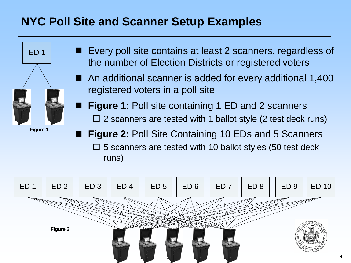### **NYC Poll Site and Scanner Setup Examples**



- Every poll site contains at least 2 scanners, regardless of the number of Election Districts or registered voters
- An additional scanner is added for every additional 1,400 registered voters in a poll site
	- **Figure 1:** Poll site containing 1 ED and 2 scanners  $\Box$  2 scanners are tested with 1 ballot style (2 test deck runs)
		-
	- **Figure 2:** Poll Site Containing 10 EDs and 5 Scanners  $\square$  5 scanners are tested with 10 ballot styles (50 test deck) runs)

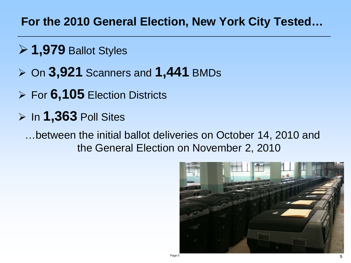### **For the 2010 General Election, New York City Tested…**

- **1,979** Ballot Styles
- On **3,921** Scanners and **1,441** BMDs
- For **6,105** Election Districts
- In **1,363** Poll Sites

…between the initial ballot deliveries on October 14, 2010 and the General Election on November 2, 2010

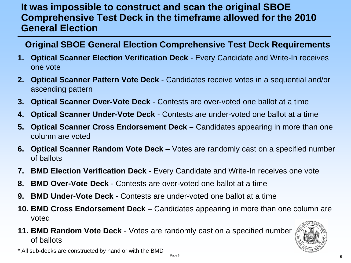#### **It was impossible to construct and scan the original SBOE Comprehensive Test Deck in the timeframe allowed for the 2010 General Election**

#### **Original SBOE General Election Comprehensive Test Deck Requirements**

- **1. Optical Scanner Election Verification Deck** Every Candidate and Write-In receives one vote
- **2. Optical Scanner Pattern Vote Deck** Candidates receive votes in a sequential and/or ascending pattern
- **3. Optical Scanner Over-Vote Deck** Contests are over-voted one ballot at a time
- **4. Optical Scanner Under-Vote Deck** Contests are under-voted one ballot at a time
- **5. Optical Scanner Cross Endorsement Deck –** Candidates appearing in more than one column are voted
- **6. Optical Scanner Random Vote Deck** Votes are randomly cast on a specified number of ballots
- **7. BMD Election Verification Deck** Every Candidate and Write-In receives one vote
- **8. BMD Over-Vote Deck** Contests are over-voted one ballot at a time
- **9. BMD Under-Vote Deck** Contests are under-voted one ballot at a time
- **10. BMD Cross Endorsement Deck –** Candidates appearing in more than one column are voted
- **11. BMD Random Vote Deck** Votes are randomly cast on a specified number of ballots



\* All sub-decks are constructed by hand or with the BMD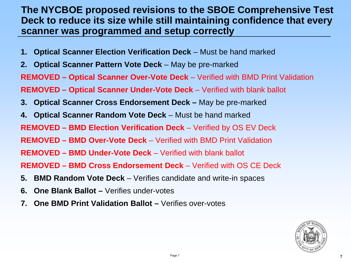#### **The NYCBOE proposed revisions to the SBOE Comprehensive Test Deck to reduce its size while still maintaining confidence that every scanner was programmed and setup correctly**

- **1. Optical Scanner Election Verification Deck** Must be hand marked
- **2. Optical Scanner Pattern Vote Deck** May be pre-marked
- **REMOVED – Optical Scanner Over-Vote Deck** Verified with BMD Print Validation

**REMOVED – Optical Scanner Under-Vote Deck** – Verified with blank ballot

- **3. Optical Scanner Cross Endorsement Deck –** May be pre-marked
- **4. Optical Scanner Random Vote Deck** Must be hand marked
- **REMOVED – BMD Election Verification Deck** Verified by OS EV Deck
- **REMOVED – BMD Over-Vote Deck** Verified with BMD Print Validation
- **REMOVED – BMD Under-Vote Deck** Verified with blank ballot

**REMOVED – BMD Cross Endorsement Deck** – Verified with OS CE Deck

- **5. BMD Random Vote Deck** Verifies candidate and write-in spaces
- **6. One Blank Ballot –** Verifies under-votes
- **7. One BMD Print Validation Ballot –** Verifies over-votes

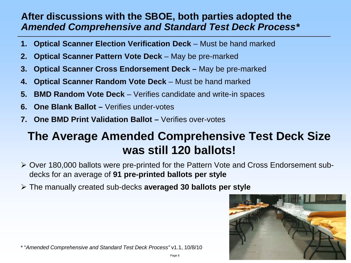#### **After discussions with the SBOE, both parties adopted the**  *Amended Comprehensive and Standard Test Deck Process\**

- **1. Optical Scanner Election Verification Deck** Must be hand marked
- **2. Optical Scanner Pattern Vote Deck** May be pre-marked
- **3. Optical Scanner Cross Endorsement Deck –** May be pre-marked
- **4. Optical Scanner Random Vote Deck** Must be hand marked
- **5. BMD Random Vote Deck** Verifies candidate and write-in spaces
- **6. One Blank Ballot –** Verifies under-votes
- **7. One BMD Print Validation Ballot –** Verifies over-votes

### **The Average Amended Comprehensive Test Deck Size was still 120 ballots!**

- Over 180,000 ballots were pre-printed for the Pattern Vote and Cross Endorsement subdecks for an average of **91 pre-printed ballots per style**
- The manually created sub-decks **averaged 30 ballots per style**



\* "*Amended Comprehensive and Standard Test Deck Process"* v1.1, 10/8/10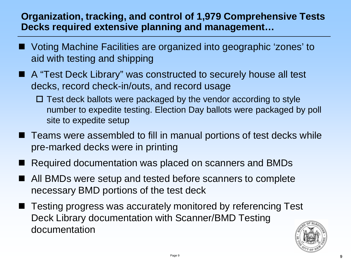#### **Organization, tracking, and control of 1,979 Comprehensive Tests Decks required extensive planning and management…**

- Voting Machine Facilities are organized into geographic 'zones' to aid with testing and shipping
- A "Test Deck Library" was constructed to securely house all test decks, record check-in/outs, and record usage
	- $\Box$  Test deck ballots were packaged by the vendor according to style number to expedite testing. Election Day ballots were packaged by poll site to expedite setup
- Teams were assembled to fill in manual portions of test decks while pre-marked decks were in printing
- Required documentation was placed on scanners and BMDs
- All BMDs were setup and tested before scanners to complete necessary BMD portions of the test deck
- Testing progress was accurately monitored by referencing Test Deck Library documentation with Scanner/BMD Testing documentation

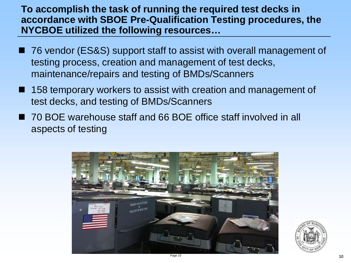#### **To accomplish the task of running the required test decks in accordance with SBOE Pre-Qualification Testing procedures, the NYCBOE utilized the following resources…**

- 76 vendor (ES&S) support staff to assist with overall management of testing process, creation and management of test decks, maintenance/repairs and testing of BMDs/Scanners
- 158 temporary workers to assist with creation and management of test decks, and testing of BMDs/Scanners
- 70 BOE warehouse staff and 66 BOE office staff involved in all aspects of testing



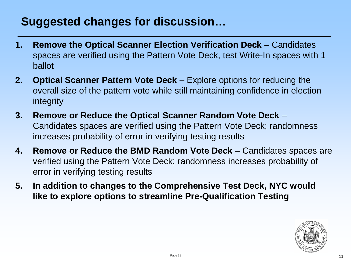### **Suggested changes for discussion…**

- **1. Remove the Optical Scanner Election Verification Deck** Candidates spaces are verified using the Pattern Vote Deck, test Write-In spaces with 1 ballot
- **2. Optical Scanner Pattern Vote Deck** Explore options for reducing the overall size of the pattern vote while still maintaining confidence in election integrity
- **3. Remove or Reduce the Optical Scanner Random Vote Deck** Candidates spaces are verified using the Pattern Vote Deck; randomness increases probability of error in verifying testing results
- **4. Remove or Reduce the BMD Random Vote Deck** Candidates spaces are verified using the Pattern Vote Deck; randomness increases probability of error in verifying testing results
- **5. In addition to changes to the Comprehensive Test Deck, NYC would like to explore options to streamline Pre-Qualification Testing**